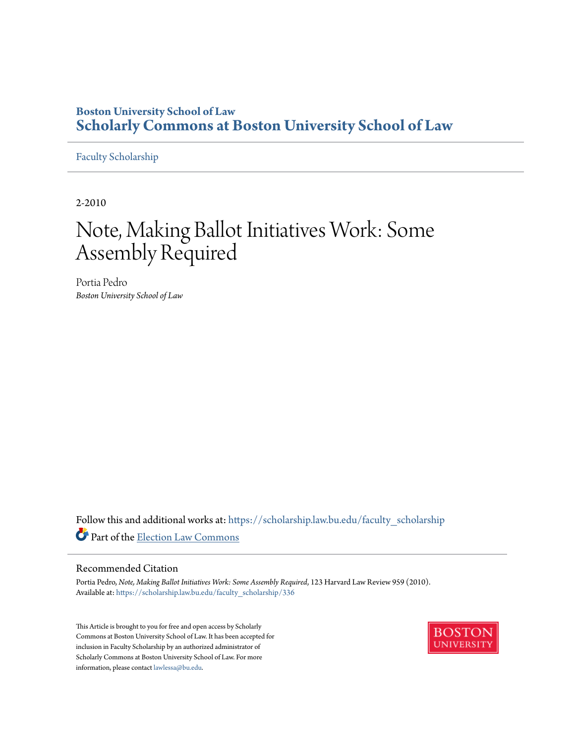# **Boston University School of Law [Scholarly Commons at Boston University School of Law](https://scholarship.law.bu.edu?utm_source=scholarship.law.bu.edu%2Ffaculty_scholarship%2F336&utm_medium=PDF&utm_campaign=PDFCoverPages)**

# [Faculty Scholarship](https://scholarship.law.bu.edu/faculty_scholarship?utm_source=scholarship.law.bu.edu%2Ffaculty_scholarship%2F336&utm_medium=PDF&utm_campaign=PDFCoverPages)

2-2010

# Note, Making Ballot Initiatives Work: Some Assembly Required

Portia Pedro *Boston University School of Law*

Follow this and additional works at: [https://scholarship.law.bu.edu/faculty\\_scholarship](https://scholarship.law.bu.edu/faculty_scholarship?utm_source=scholarship.law.bu.edu%2Ffaculty_scholarship%2F336&utm_medium=PDF&utm_campaign=PDFCoverPages) Part of the [Election Law Commons](http://network.bepress.com/hgg/discipline/1121?utm_source=scholarship.law.bu.edu%2Ffaculty_scholarship%2F336&utm_medium=PDF&utm_campaign=PDFCoverPages)

# Recommended Citation

Portia Pedro, *Note, Making Ballot Initiatives Work: Some Assembly Required*, 123 Harvard Law Review 959 (2010). Available at: [https://scholarship.law.bu.edu/faculty\\_scholarship/336](https://scholarship.law.bu.edu/faculty_scholarship/336?utm_source=scholarship.law.bu.edu%2Ffaculty_scholarship%2F336&utm_medium=PDF&utm_campaign=PDFCoverPages)

This Article is brought to you for free and open access by Scholarly Commons at Boston University School of Law. It has been accepted for inclusion in Faculty Scholarship by an authorized administrator of Scholarly Commons at Boston University School of Law. For more information, please contact [lawlessa@bu.edu.](mailto:lawlessa@bu.edu)

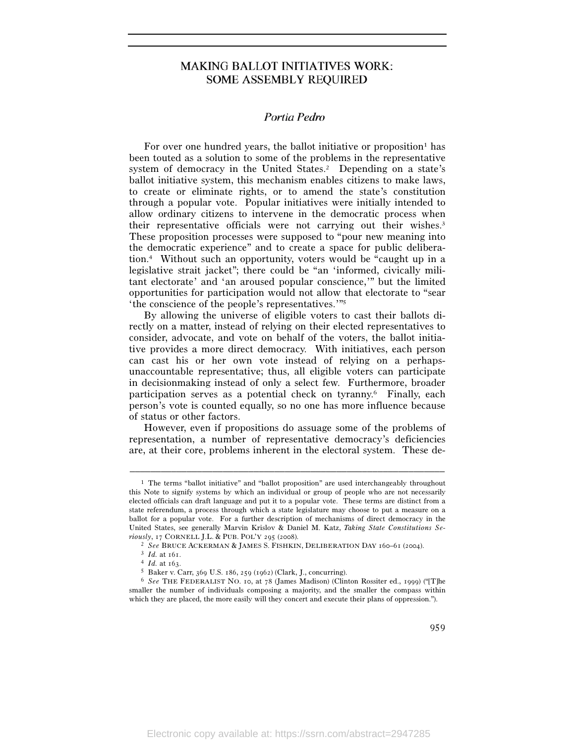# **MAKING BALLOT INITIATIVES WORK: SOME ASSEMBLY REQUIRED**

#### $\mathbb{R}^n \times \mathbb{R}^n$ Portia Pedro

For over one hundred years, the ballot initiative or proposition<sup>1</sup> has been touted as a solution to some of the problems in the representative system of democracy in the United States.<sup>2</sup> Depending on a state's ballot initiative system, this mechanism enables citizens to make laws, to create or eliminate rights, or to amend the state's constitution through a popular vote. Popular initiatives were initially intended to allow ordinary citizens to intervene in the democratic process when their representative officials were not carrying out their wishes.<sup>3</sup> These proposition processes were supposed to "pour new meaning into the democratic experience" and to create a space for public deliberation.4 Without such an opportunity, voters would be "caught up in a legislative strait jacket"; there could be "an 'informed, civically militant electorate' and 'an aroused popular conscience,'" but the limited opportunities for participation would not allow that electorate to "sear 'the conscience of the people's representatives.'"5

By allowing the universe of eligible voters to cast their ballots directly on a matter, instead of relying on their elected representatives to consider, advocate, and vote on behalf of the voters, the ballot initiative provides a more direct democracy. With initiatives, each person can cast his or her own vote instead of relying on a perhapsunaccountable representative; thus, all eligible voters can participate in decisionmaking instead of only a select few. Furthermore, broader participation serves as a potential check on tyranny.6 Finally, each person's vote is counted equally, so no one has more influence because of status or other factors.

However, even if propositions do assuage some of the problems of representation, a number of representative democracy's deficiencies are, at their core, problems inherent in the electoral system. These de-

 $\frac{1}{2}$  The terms "ballot initiative" and "ballot proposition" are used interchangeably throughout this Note to signify systems by which an individual or group of people who are not necessarily elected officials can draft language and put it to a popular vote. These terms are distinct from a state referendum, a process through which a state legislature may choose to put a measure on a ballot for a popular vote. For a further description of mechanisms of direct democracy in the United States, see generally Marvin Krislov & Daniel M. Katz, *Taking State Constitutions Seriously*, 17 CORNELL J.L. & PUB. POL'Y 295 (2008).<br>
<sup>2</sup> See BRUCE ACKERMAN & JAMES S. FISHKIN, DELIBERATION DAY 160–61 (2004).<br>
<sup>3</sup> Id. at 161.<br>
<sup>4</sup> Id. at 163.<br>
<sup>5</sup> Baker v. Carr, 369 U.S. 186, 259 (1962) (Clark, J., con

<sup>6</sup> *See* THE FEDERALIST NO. 10, at 78 (James Madison) (Clinton Rossiter ed., 1999) ("[T]he smaller the number of individuals composing a majority, and the smaller the compass within which they are placed, the more easily will they concert and execute their plans of oppression.").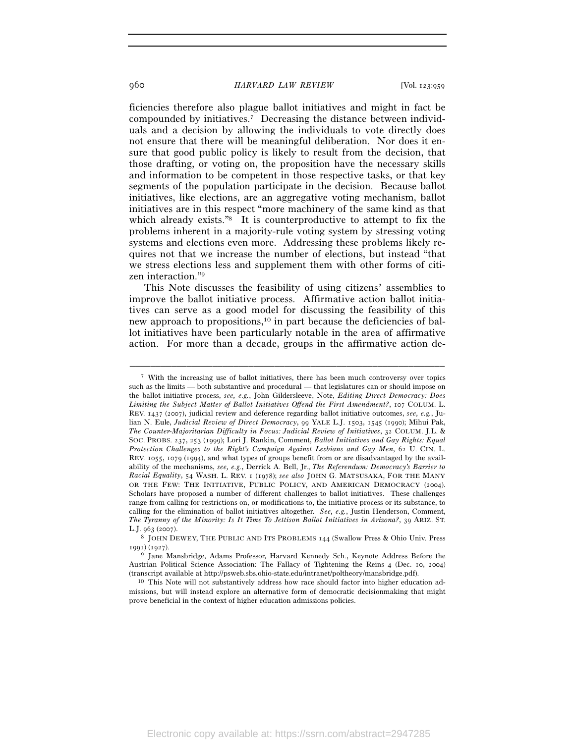ficiencies therefore also plague ballot initiatives and might in fact be compounded by initiatives.7 Decreasing the distance between individuals and a decision by allowing the individuals to vote directly does not ensure that there will be meaningful deliberation. Nor does it ensure that good public policy is likely to result from the decision, that those drafting, or voting on, the proposition have the necessary skills and information to be competent in those respective tasks, or that key segments of the population participate in the decision. Because ballot initiatives, like elections, are an aggregative voting mechanism, ballot initiatives are in this respect "more machinery of the same kind as that which already exists."<sup>8</sup> It is counterproductive to attempt to fix the problems inherent in a majority-rule voting system by stressing voting systems and elections even more. Addressing these problems likely requires not that we increase the number of elections, but instead "that we stress elections less and supplement them with other forms of citizen interaction."9

This Note discusses the feasibility of using citizens' assemblies to improve the ballot initiative process. Affirmative action ballot initiatives can serve as a good model for discussing the feasibility of this new approach to propositions,10 in part because the deficiencies of ballot initiatives have been particularly notable in the area of affirmative action. For more than a decade, groups in the affirmative action de-

<sup>&</sup>lt;sup>7</sup> With the increasing use of ballot initiatives, there has been much controversy over topics such as the limits — both substantive and procedural — that legislatures can or should impose on the ballot initiative process, *see, e.g.*, John Gildersleeve, Note, *Editing Direct Democracy: Does Limiting the Subject Matter of Ballot Initiatives Offend the First Amendment?*, 107 COLUM. L. REV. 1437 (2007), judicial review and deference regarding ballot initiative outcomes, *see, e.g.*, Julian N. Eule, *Judicial Review of Direct Democracy*, 99 YALE L.J. 1503, 1545 (1990); Mihui Pak, *The Counter-Majoritarian Difficulty in Focus: Judicial Review of Initiatives*, 32 COLUM. J.L. & SOC. PROBS. 237, 253 (1999); Lori J. Rankin, Comment, *Ballot Initiatives and Gay Rights: Equal Protection Challenges to the Right's Campaign Against Lesbians and Gay Men*, 62 U. CIN. L. REV. 1055, 1079 (1994), and what types of groups benefit from or are disadvantaged by the availability of the mechanisms, *see, e.g.*, Derrick A. Bell, Jr., *The Referendum: Democracy's Barrier to Racial Equality*, 54 WASH. L. REV. 1 (1978); *see also* JOHN G. MATSUSAKA, FOR THE MANY OR THE FEW: THE INITIATIVE, PUBLIC POLICY, AND AMERICAN DEMOCRACY (2004). Scholars have proposed a number of different challenges to ballot initiatives. These challenges range from calling for restrictions on, or modifications to, the initiative process or its substance, to calling for the elimination of ballot initiatives altogether. *See, e.g.*, Justin Henderson, Comment, *The Tyranny of the Minority: Is It Time To Jettison Ballot Initiatives in Arizona?*, 39 ARIZ. ST. L.J. 963 (2007).<br><sup>8</sup> JOHN DEWEY, THE PUBLIC AND ITS PROBLEMS 144 (Swallow Press & Ohio Univ. Press

<sup>1991) (1927).&</sup>lt;br><sup>9</sup> Jane Mansbridge, Adams Professor, Harvard Kennedy Sch., Keynote Address Before the

Austrian Political Science Association: The Fallacy of Tightening the Reins 4 (Dec. 10, 2004) (transcript available at http://psweb.sbs.ohio-state.edu/intranet/poltheory/mansbridge.pdf). 10 This Note will not substantively address how race should factor into higher education ad-

missions, but will instead explore an alternative form of democratic decisionmaking that might prove beneficial in the context of higher education admissions policies.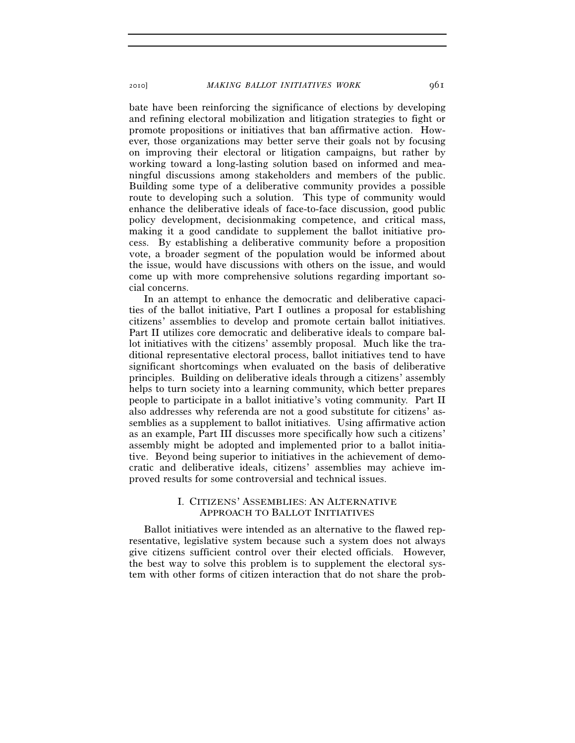bate have been reinforcing the significance of elections by developing and refining electoral mobilization and litigation strategies to fight or promote propositions or initiatives that ban affirmative action. However, those organizations may better serve their goals not by focusing on improving their electoral or litigation campaigns, but rather by working toward a long-lasting solution based on informed and meaningful discussions among stakeholders and members of the public. Building some type of a deliberative community provides a possible route to developing such a solution. This type of community would enhance the deliberative ideals of face-to-face discussion, good public policy development, decisionmaking competence, and critical mass, making it a good candidate to supplement the ballot initiative process. By establishing a deliberative community before a proposition vote, a broader segment of the population would be informed about the issue, would have discussions with others on the issue, and would come up with more comprehensive solutions regarding important social concerns.

In an attempt to enhance the democratic and deliberative capacities of the ballot initiative, Part I outlines a proposal for establishing citizens' assemblies to develop and promote certain ballot initiatives. Part II utilizes core democratic and deliberative ideals to compare ballot initiatives with the citizens' assembly proposal. Much like the traditional representative electoral process, ballot initiatives tend to have significant shortcomings when evaluated on the basis of deliberative principles. Building on deliberative ideals through a citizens' assembly helps to turn society into a learning community, which better prepares people to participate in a ballot initiative's voting community. Part II also addresses why referenda are not a good substitute for citizens' assemblies as a supplement to ballot initiatives. Using affirmative action as an example, Part III discusses more specifically how such a citizens' assembly might be adopted and implemented prior to a ballot initiative. Beyond being superior to initiatives in the achievement of democratic and deliberative ideals, citizens' assemblies may achieve improved results for some controversial and technical issues.

# I. CITIZENS' ASSEMBLIES: AN ALTERNATIVE APPROACH TO BALLOT INITIATIVES

Ballot initiatives were intended as an alternative to the flawed representative, legislative system because such a system does not always give citizens sufficient control over their elected officials. However, the best way to solve this problem is to supplement the electoral system with other forms of citizen interaction that do not share the prob-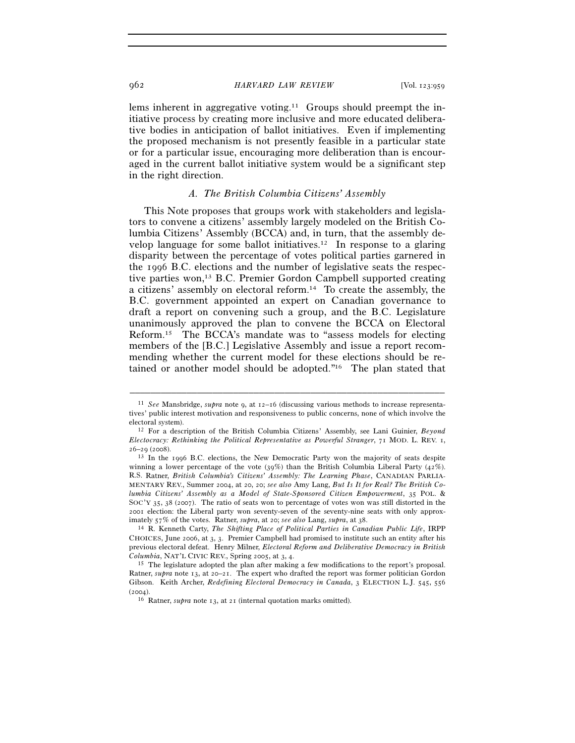lems inherent in aggregative voting.<sup>11</sup> Groups should preempt the initiative process by creating more inclusive and more educated deliberative bodies in anticipation of ballot initiatives. Even if implementing the proposed mechanism is not presently feasible in a particular state or for a particular issue, encouraging more deliberation than is encouraged in the current ballot initiative system would be a significant step in the right direction.

### *A. The British Columbia Citizens' Assembly*

This Note proposes that groups work with stakeholders and legislators to convene a citizens' assembly largely modeled on the British Columbia Citizens' Assembly (BCCA) and, in turn, that the assembly develop language for some ballot initiatives.12 In response to a glaring disparity between the percentage of votes political parties garnered in the 1996 B.C. elections and the number of legislative seats the respective parties won,<sup>13</sup> B.C. Premier Gordon Campbell supported creating a citizens' assembly on electoral reform.14 To create the assembly, the B.C. government appointed an expert on Canadian governance to draft a report on convening such a group, and the B.C. Legislature unanimously approved the plan to convene the BCCA on Electoral Reform.15 The BCCA's mandate was to "assess models for electing members of the [B.C.] Legislative Assembly and issue a report recommending whether the current model for these elections should be retained or another model should be adopted."16 The plan stated that

<sup>11</sup> *See* Mansbridge, *supra* note 9, at 12–16 (discussing various methods to increase representatives' public interest motivation and responsiveness to public concerns, none of which involve the electoral system). 12 For a description of the British Columbia Citizens' Assembly, see Lani Guinier, *Beyond* 

*Electocracy: Rethinking the Political Representative as Powerful Stranger*, 71 MOD. L. REV. 1,  $26-29$  (2008).<br><sup>13</sup> In the 1996 B.C. elections, the New Democratic Party won the majority of seats despite

winning a lower percentage of the vote (39%) than the British Columbia Liberal Party (42%). R.S. Ratner, *British Columbia's Citizens' Assembly: The Learning Phase*, CANADIAN PARLIA-MENTARY REV., Summer 2004, at 20, 20; *see also* Amy Lang, *But Is It for Real? The British Columbia Citizens' Assembly as a Model of State-Sponsored Citizen Empowerment*, 35 POL. & SOC'Y 35, 38 (2007). The ratio of seats won to percentage of votes won was still distorted in the 2001 election: the Liberal party won seventy-seven of the seventy-nine seats with only approximately 57% of the votes. Ratner, *supra*, at 20; *see also* Lang, *supra*, at 38. 14 R. Kenneth Carty, *The Shifting Place of Political Parties in Canadian Public Life*, IRPP

CHOICES, June 2006, at 3, 3. Premier Campbell had promised to institute such an entity after his previous electoral defeat. Henry Milner, *Electoral Reform and Deliberative Democracy in British* 

<sup>&</sup>lt;sup>15</sup> The legislature adopted the plan after making a few modifications to the report's proposal. Ratner, *supra* note 13, at 20–21. The expert who drafted the report was former politician Gordon Gibson. Keith Archer, *Redefining Electoral Democracy in Canada*, 3 ELECTION L.J. 545, 556 (2004). <sup>16</sup> Ratner, *supra* note 13, at 21 (internal quotation marks omitted).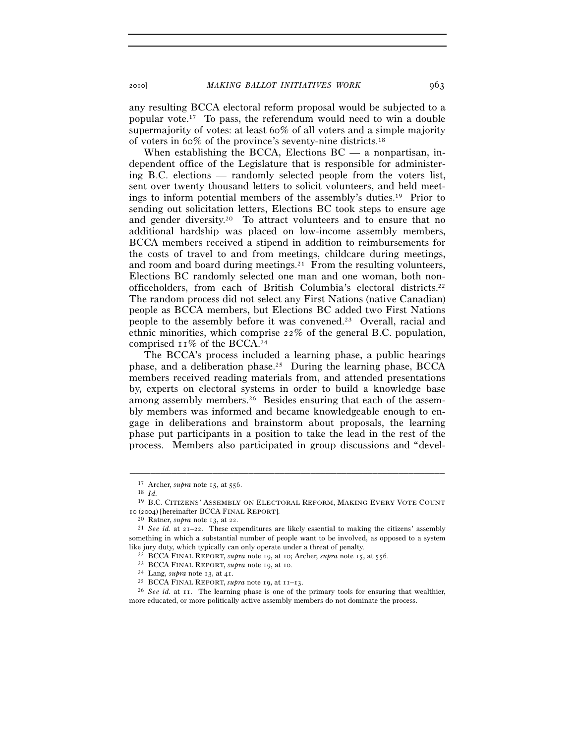any resulting BCCA electoral reform proposal would be subjected to a popular vote.17 To pass, the referendum would need to win a double supermajority of votes: at least 60% of all voters and a simple majority of voters in 60% of the province's seventy-nine districts.18

When establishing the BCCA, Elections  $BC - a$  nonpartisan, independent office of the Legislature that is responsible for administering B.C. elections — randomly selected people from the voters list, sent over twenty thousand letters to solicit volunteers, and held meetings to inform potential members of the assembly's duties.19 Prior to sending out solicitation letters, Elections BC took steps to ensure age and gender diversity.20 To attract volunteers and to ensure that no additional hardship was placed on low-income assembly members, BCCA members received a stipend in addition to reimbursements for the costs of travel to and from meetings, childcare during meetings, and room and board during meetings.<sup>21</sup> From the resulting volunteers, Elections BC randomly selected one man and one woman, both nonofficeholders, from each of British Columbia's electoral districts.22 The random process did not select any First Nations (native Canadian) people as BCCA members, but Elections BC added two First Nations people to the assembly before it was convened.23 Overall, racial and ethnic minorities, which comprise  $22\%$  of the general B.C. population, comprised  $11\%$  of the BCCA.<sup>24</sup>

The BCCA's process included a learning phase, a public hearings phase, and a deliberation phase.25 During the learning phase, BCCA members received reading materials from, and attended presentations by, experts on electoral systems in order to build a knowledge base among assembly members.26 Besides ensuring that each of the assembly members was informed and became knowledgeable enough to engage in deliberations and brainstorm about proposals, the learning phase put participants in a position to take the lead in the rest of the process. Members also participated in group discussions and "devel-

<sup>17</sup> Archer, *supra* note 15, at 556. 18 *Id.*

<sup>19</sup> B.C. CITIZENS' ASSEMBLY ON ELECTORAL REFORM, MAKING EVERY VOTE COUNT 10 (2004) [hereinafter BCCA FINAL REPORT].

<sup>20</sup> Ratner, *supra* note 13, at 22. 21 *See id.* at 21–22. These expenditures are likely essential to making the citizens' assembly something in which a substantial number of people want to be involved, as opposed to a system like jury duty, which typically can only operate under a threat of penalty.<br>
<sup>22</sup> BCCA FINAL REPORT, *supra* note 19, at 10; Archer, *supra* note 15, at 556.<br>
<sup>23</sup> BCCA FINAL REPORT, *supra* note 19, at 10.<br>
<sup>24</sup> Lang, *s* 

more educated, or more politically active assembly members do not dominate the process.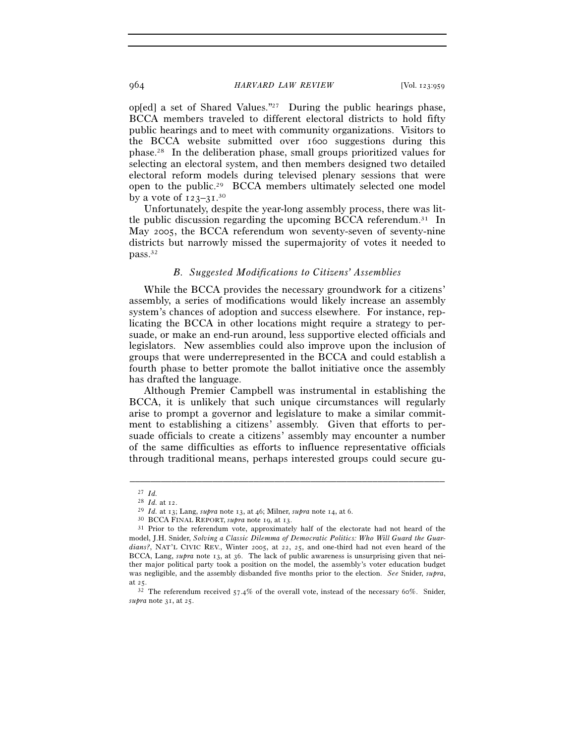op[ed] a set of Shared Values."27 During the public hearings phase, BCCA members traveled to different electoral districts to hold fifty public hearings and to meet with community organizations. Visitors to the BCCA website submitted over 1600 suggestions during this phase.28 In the deliberation phase, small groups prioritized values for selecting an electoral system, and then members designed two detailed electoral reform models during televised plenary sessions that were open to the public.29 BCCA members ultimately selected one model by a vote of 123-31.<sup>30</sup>

Unfortunately, despite the year-long assembly process, there was little public discussion regarding the upcoming BCCA referendum.<sup>31</sup> In May 2005, the BCCA referendum won seventy-seven of seventy-nine districts but narrowly missed the supermajority of votes it needed to pass.32

# *B. Suggested Modifications to Citizens' Assemblies*

While the BCCA provides the necessary groundwork for a citizens' assembly, a series of modifications would likely increase an assembly system's chances of adoption and success elsewhere. For instance, replicating the BCCA in other locations might require a strategy to persuade, or make an end-run around, less supportive elected officials and legislators. New assemblies could also improve upon the inclusion of groups that were underrepresented in the BCCA and could establish a fourth phase to better promote the ballot initiative once the assembly has drafted the language.

Although Premier Campbell was instrumental in establishing the BCCA, it is unlikely that such unique circumstances will regularly arise to prompt a governor and legislature to make a similar commitment to establishing a citizens' assembly. Given that efforts to persuade officials to create a citizens' assembly may encounter a number of the same difficulties as efforts to influence representative officials through traditional means, perhaps interested groups could secure gu-

 $\begin{array}{cc} 27 & Id. \\ 28 & Id. \text{ at } 12. \end{array}$ 

<sup>&</sup>lt;sup>29</sup> *Id.* at 13; Lang, *supra* note 13, at 46; Milner, *supra* note 14, at 6.<br><sup>30</sup> BCCA FINAL REPORT, *supra* note 19, at 13.<br><sup>31</sup> Prior to the referendum vote, approximately half of the electorate had not heard of the model, J.H. Snider, *Solving a Classic Dilemma of Democratic Politics: Who Will Guard the Guardians?*, NAT'L CIVIC REV., Winter 2005, at 22, 25, and one-third had not even heard of the BCCA, Lang, *supra* note 13, at 36. The lack of public awareness is unsurprising given that neither major political party took a position on the model, the assembly's voter education budget was negligible, and the assembly disbanded five months prior to the election. *See* Snider, *supra*,

at 25.  $\frac{32}{32}$  The referendum received 57.4% of the overall vote, instead of the necessary 60%. Snider, *supra* note 31, at 25.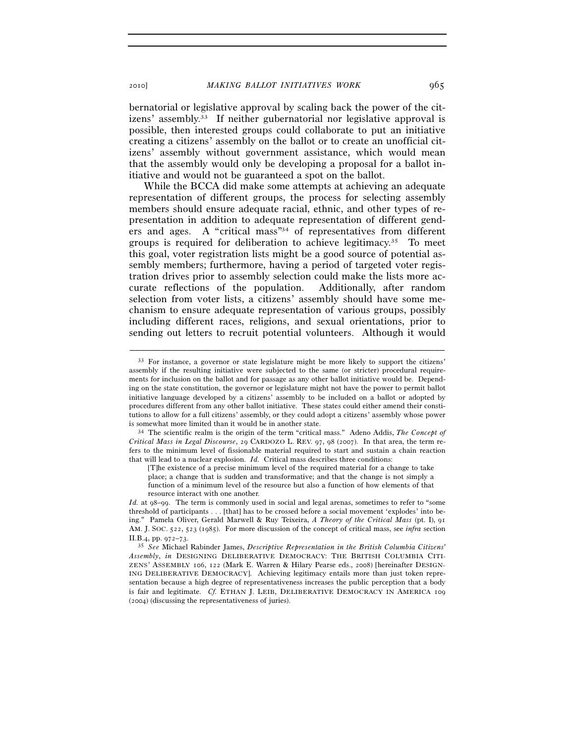2010] *MAKING BALLOT INITIATIVES WORK* 965

bernatorial or legislative approval by scaling back the power of the citizens' assembly.33 If neither gubernatorial nor legislative approval is possible, then interested groups could collaborate to put an initiative creating a citizens' assembly on the ballot or to create an unofficial citizens' assembly without government assistance, which would mean that the assembly would only be developing a proposal for a ballot initiative and would not be guaranteed a spot on the ballot.

While the BCCA did make some attempts at achieving an adequate representation of different groups, the process for selecting assembly members should ensure adequate racial, ethnic, and other types of representation in addition to adequate representation of different genders and ages. A "critical mass"34 of representatives from different groups is required for deliberation to achieve legitimacy.<sup>35</sup> To meet this goal, voter registration lists might be a good source of potential assembly members; furthermore, having a period of targeted voter registration drives prior to assembly selection could make the lists more accurate reflections of the population. Additionally, after random selection from voter lists, a citizens' assembly should have some mechanism to ensure adequate representation of various groups, possibly including different races, religions, and sexual orientations, prior to sending out letters to recruit potential volunteers. Although it would

<sup>&</sup>lt;sup>33</sup> For instance, a governor or state legislature might be more likely to support the citizens' assembly if the resulting initiative were subjected to the same (or stricter) procedural requirements for inclusion on the ballot and for passage as any other ballot initiative would be. Depending on the state constitution, the governor or legislature might not have the power to permit ballot initiative language developed by a citizens' assembly to be included on a ballot or adopted by procedures different from any other ballot initiative. These states could either amend their constitutions to allow for a full citizens' assembly, or they could adopt a citizens' assembly whose power is somewhat more limited than it would be in another state. 34 The scientific realm is the origin of the term "critical mass." Adeno Addis, *The Concept of* 

*Critical Mass in Legal Discourse*, 29 CARDOZO L. REV. 97, 98 (2007). In that area, the term refers to the minimum level of fissionable material required to start and sustain a chain reaction that will lead to a nuclear explosion. *Id.* Critical mass describes three conditions:

<sup>[</sup>T]he existence of a precise minimum level of the required material for a change to take

place; a change that is sudden and transformative; and that the change is not simply a function of a minimum level of the resource but also a function of how elements of that resource interact with one another.

*Id.* at 98–99. The term is commonly used in social and legal arenas, sometimes to refer to "some threshold of participants . . . [that] has to be crossed before a social movement 'explodes' into being." Pamela Oliver, Gerald Marwell & Ruy Teixeira, *A Theory of the Critical Mass* (pt. I), 91 AM. J. SOC. 522, 523 (1985). For more discussion of the concept of critical mass, see *infra* section II.B.4, pp. 972–73. 35 *See* Michael Rabinder James, *Descriptive Representation in the British Columbia Citizens'* 

*Assembly*, *in* DESIGNING DELIBERATIVE DEMOCRACY: THE BRITISH COLUMBIA CITI-ZENS' ASSEMBLY 106, 122 (Mark E. Warren & Hilary Pearse eds., 2008) [hereinafter DESIGN-ING DELIBERATIVE DEMOCRACY]. Achieving legitimacy entails more than just token representation because a high degree of representativeness increases the public perception that a body is fair and legitimate. *Cf.* ETHAN J. LEIB, DELIBERATIVE DEMOCRACY IN AMERICA 109 (2004) (discussing the representativeness of juries).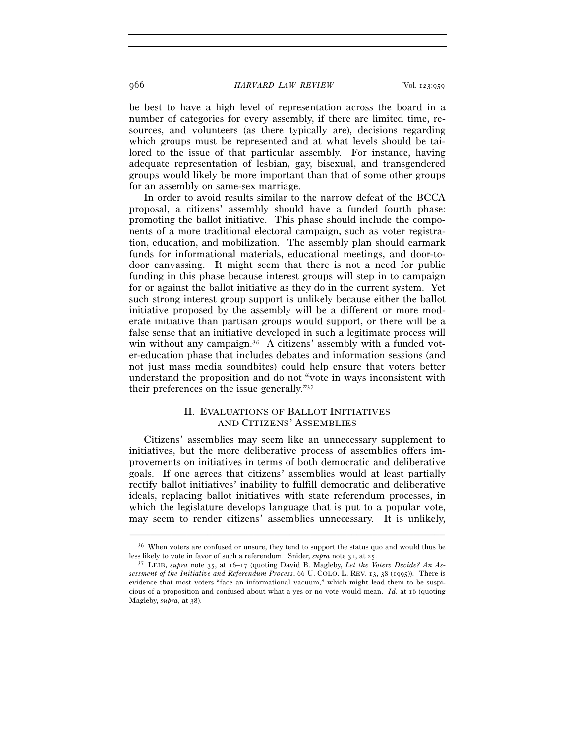be best to have a high level of representation across the board in a number of categories for every assembly, if there are limited time, resources, and volunteers (as there typically are), decisions regarding which groups must be represented and at what levels should be tailored to the issue of that particular assembly. For instance, having adequate representation of lesbian, gay, bisexual, and transgendered groups would likely be more important than that of some other groups for an assembly on same-sex marriage.

In order to avoid results similar to the narrow defeat of the BCCA proposal, a citizens' assembly should have a funded fourth phase: promoting the ballot initiative. This phase should include the components of a more traditional electoral campaign, such as voter registration, education, and mobilization. The assembly plan should earmark funds for informational materials, educational meetings, and door-todoor canvassing. It might seem that there is not a need for public funding in this phase because interest groups will step in to campaign for or against the ballot initiative as they do in the current system. Yet such strong interest group support is unlikely because either the ballot initiative proposed by the assembly will be a different or more moderate initiative than partisan groups would support, or there will be a false sense that an initiative developed in such a legitimate process will win without any campaign.<sup>36</sup> A citizens' assembly with a funded voter-education phase that includes debates and information sessions (and not just mass media soundbites) could help ensure that voters better understand the proposition and do not "vote in ways inconsistent with their preferences on the issue generally."37

# II. EVALUATIONS OF BALLOT INITIATIVES AND CITIZENS' ASSEMBLIES

Citizens' assemblies may seem like an unnecessary supplement to initiatives, but the more deliberative process of assemblies offers improvements on initiatives in terms of both democratic and deliberative goals. If one agrees that citizens' assemblies would at least partially rectify ballot initiatives' inability to fulfill democratic and deliberative ideals, replacing ballot initiatives with state referendum processes, in which the legislature develops language that is put to a popular vote, may seem to render citizens' assemblies unnecessary. It is unlikely,

<sup>–––––––––––––––––––––––––––––––––––––––––––––––––––––––––––––</sup>  <sup>36</sup> When voters are confused or unsure, they tend to support the status quo and would thus be less likely to vote in favor of such a referendum. Snider, *supra* note 31, at 25.

<sup>&</sup>lt;sup>37</sup> LEIB, *supra* note 35, at 16–17 (quoting David B. Magleby, Let the Voters Decide? An As*sessment of the Initiative and Referendum Process*, 66 U. COLO. L. REV. 13, 38 (1995)). There is evidence that most voters "face an informational vacuum," which might lead them to be suspicious of a proposition and confused about what a yes or no vote would mean. *Id.* at 16 (quoting Magleby, *supra*, at 38).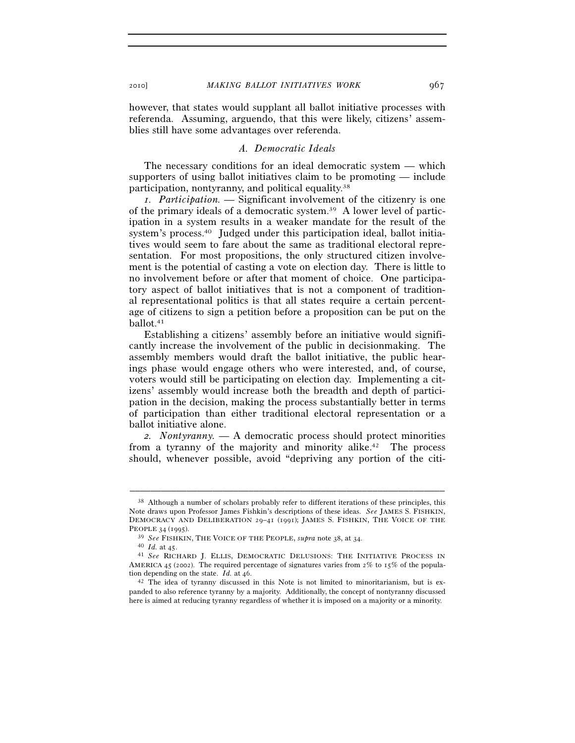however, that states would supplant all ballot initiative processes with referenda. Assuming, arguendo, that this were likely, citizens' assemblies still have some advantages over referenda.

#### *A. Democratic Ideals*

The necessary conditions for an ideal democratic system — which supporters of using ballot initiatives claim to be promoting — include participation, nontyranny, and political equality.38

*1. Participation. —* Significant involvement of the citizenry is one of the primary ideals of a democratic system.39 A lower level of participation in a system results in a weaker mandate for the result of the system's process.<sup>40</sup> Judged under this participation ideal, ballot initiatives would seem to fare about the same as traditional electoral representation. For most propositions, the only structured citizen involvement is the potential of casting a vote on election day. There is little to no involvement before or after that moment of choice. One participatory aspect of ballot initiatives that is not a component of traditional representational politics is that all states require a certain percentage of citizens to sign a petition before a proposition can be put on the ballot.41

Establishing a citizens' assembly before an initiative would significantly increase the involvement of the public in decisionmaking. The assembly members would draft the ballot initiative, the public hearings phase would engage others who were interested, and, of course, voters would still be participating on election day. Implementing a citizens' assembly would increase both the breadth and depth of participation in the decision, making the process substantially better in terms of participation than either traditional electoral representation or a ballot initiative alone.

*2. Nontyranny. —* A democratic process should protect minorities from a tyranny of the majority and minority alike.<sup>42</sup> The process should, whenever possible, avoid "depriving any portion of the citi-

<sup>&</sup>lt;sup>38</sup> Although a number of scholars probably refer to different iterations of these principles, this Note draws upon Professor James Fishkin's descriptions of these ideas. *See* JAMES S. FISHKIN, DEMOCRACY AND DELIBERATION 29–41 (1991); JAMES S. FISHKIN, THE VOICE OF THE

PEOPLE 34 (1995).<br><sup>39</sup> *See* FISHKIN, THE VOICE OF THE PEOPLE, *supra* note 38, at 34.<br><sup>40</sup> *Id.* at 45.<br><sup>41</sup> *See* RICHARD J. ELLIS, DEMOCRATIC DELUSIONS: THE INITIATIVE PROCESS IN AMERICA 45 (2002). The required percentage of signatures varies from  $2\%$  to 15% of the population depending on the state. *Id.* at 46.<br><sup>42</sup> The idea of tyranny discussed in this Note is not limited to minoritarianism, but is ex-

panded to also reference tyranny by a majority. Additionally, the concept of nontyranny discussed here is aimed at reducing tyranny regardless of whether it is imposed on a majority or a minority.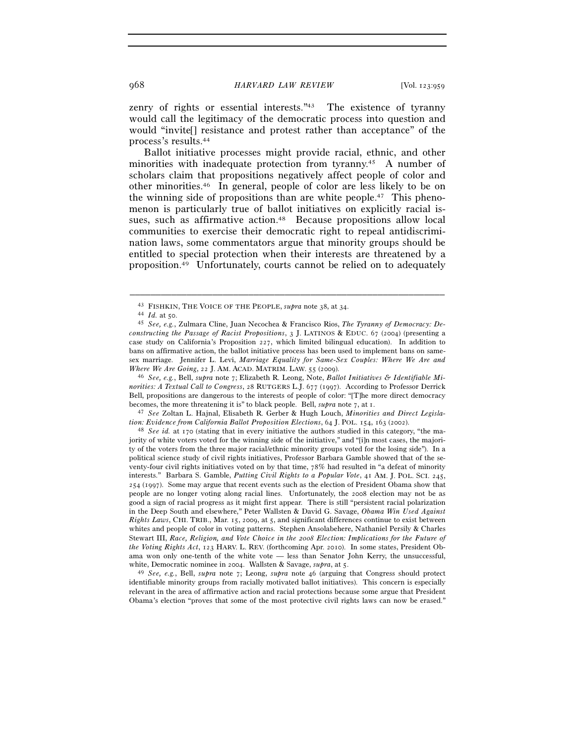zenry of rights or essential interests."<sup>43</sup> The existence of tyranny would call the legitimacy of the democratic process into question and would "invite[] resistance and protest rather than acceptance" of the process's results.44

Ballot initiative processes might provide racial, ethnic, and other minorities with inadequate protection from tyranny.45 A number of scholars claim that propositions negatively affect people of color and other minorities.46 In general, people of color are less likely to be on the winning side of propositions than are white people.47 This phenomenon is particularly true of ballot initiatives on explicitly racial issues, such as affirmative action.48 Because propositions allow local communities to exercise their democratic right to repeal antidiscrimination laws, some commentators argue that minority groups should be entitled to special protection when their interests are threatened by a proposition.49 Unfortunately, courts cannot be relied on to adequately

–––––––––––––––––––––––––––––––––––––––––––––––––––––––––––––

*Where We Are Going*, 22 J. AM. ACAD. MATRIM. LAW. 55 (2009). 46 *See, e.g.*, Bell, *supra* note 7; Elizabeth R. Leong, Note, *Ballot Initiatives & Identifiable Minorities: A Textual Call to Congress*, 28 RUTGERS L.J. 677 (1997). According to Professor Derrick Bell, propositions are dangerous to the interests of people of color: "[T]he more direct democracy becomes, the more threatening it is" to black people. Bell, *supra* note  $7$ , at  $1$ .

<sup>47</sup> See Zoltan L. Hajnal, Elisabeth R. Gerber & Hugh Louch, *Minorities and Direct Legislation: Evidence from California Ballot Proposition Elections*, 64 J. POL. 154, 163 (2002).<br><sup>48</sup> *See id.* at 170 (stating that in every initiative the authors studied in this category, "the ma-

jority of white voters voted for the winning side of the initiative," and "[i]n most cases, the majority of the voters from the three major racial/ethnic minority groups voted for the losing side"). In a political science study of civil rights initiatives, Professor Barbara Gamble showed that of the seventy-four civil rights initiatives voted on by that time, 78% had resulted in "a defeat of minority interests." Barbara S. Gamble, *Putting Civil Rights to a Popular Vote*, 41 AM. J. POL. SCI. 245, 254 (1997). Some may argue that recent events such as the election of President Obama show that people are no longer voting along racial lines. Unfortunately, the 2008 election may not be as good a sign of racial progress as it might first appear. There is still "persistent racial polarization in the Deep South and elsewhere," Peter Wallsten & David G. Savage, *Obama Win Used Against Rights Laws*, CHI. TRIB., Mar. 15, 2009, at 5, and significant differences continue to exist between whites and people of color in voting patterns. Stephen Ansolabehere, Nathaniel Persily & Charles Stewart III, *Race, Religion, and Vote Choice in the 2008 Election: Implications for the Future of the Voting Rights Act*, 123 HARV. L. REV. (forthcoming Apr. 2010). In some states, President Obama won only one-tenth of the white vote — less than Senator John Kerry, the unsuccessful,

white, Democratic nominee in 2004. Wallsten & Savage, *supra*, at 5.<br><sup>49</sup> *See, e.g.*, Bell, *supra* note 7; Leong, *supra* note 46 (arguing that Congress should protect identifiable minority groups from racially motivated ballot initiatives). This concern is especially relevant in the area of affirmative action and racial protections because some argue that President Obama's election "proves that some of the most protective civil rights laws can now be erased."

<sup>43</sup> FISHKIN, THE VOICE OF THE PEOPLE, *supra* note 38, at 34. 44 *Id.* at 50. 45 *See, e.g.*, Zulmara Cline, Juan Necochea & Francisco Rios, *The Tyranny of Democracy: Deconstructing the Passage of Racist Propositions*, 3 J. LATINOS & EDUC. 67 (2004) (presenting a case study on California's Proposition 227, which limited bilingual education). In addition to bans on affirmative action, the ballot initiative process has been used to implement bans on samesex marriage. Jennifer L. Levi, *Marriage Equality for Same-Sex Couples: Where We Are and*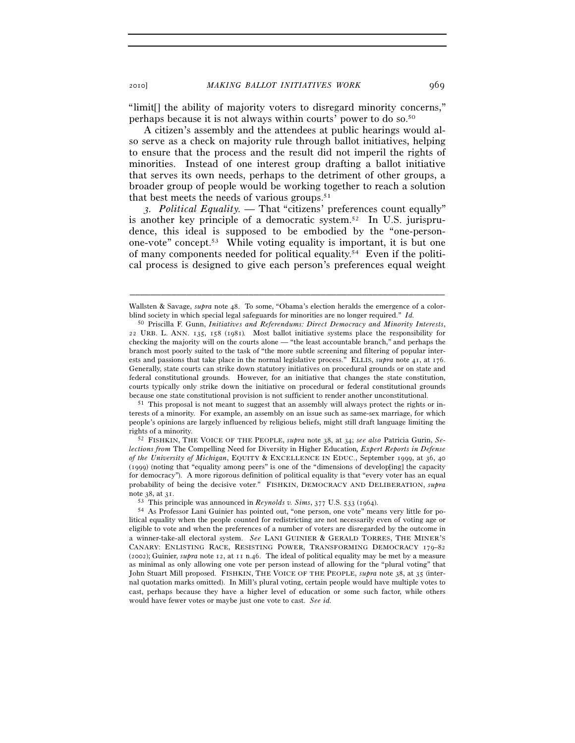"limit[] the ability of majority voters to disregard minority concerns," perhaps because it is not always within courts' power to do so.50

A citizen's assembly and the attendees at public hearings would also serve as a check on majority rule through ballot initiatives, helping to ensure that the process and the result did not imperil the rights of minorities. Instead of one interest group drafting a ballot initiative that serves its own needs, perhaps to the detriment of other groups, a broader group of people would be working together to reach a solution that best meets the needs of various groups.<sup>51</sup>

*3. Political Equality. —* That "citizens' preferences count equally" is another key principle of a democratic system.<sup>52</sup> In U.S. jurisprudence, this ideal is supposed to be embodied by the "one-personone-vote" concept.53 While voting equality is important, it is but one of many components needed for political equality.54 Even if the political process is designed to give each person's preferences equal weight

terests of a minority. For example, an assembly on an issue such as same-sex marriage, for which people's opinions are largely influenced by religious beliefs, might still draft language limiting the rights of a minority. 52 FISHKIN, THE VOICE OF THE PEOPLE, *supra* note 38, at 34; *see also* Patricia Gurin, *Se-*

*lections from* The Compelling Need for Diversity in Higher Education*, Expert Reports in Defense of the University of Michigan*, EQUITY & EXCELLENCE IN EDUC., September 1999, at 36, 40 (1999) (noting that "equality among peers" is one of the "dimensions of develop[ing] the capacity for democracy"). A more rigorous definition of political equality is that "every voter has an equal probability of being the decisive voter." FISHKIN, DEMOCRACY AND DELIBERATION, *supra*

<sup>–––––––––––––––––––––––––––––––––––––––––––––––––––––––––––––</sup>  Wallsten & Savage, *supra* note 48. To some, "Obama's election heralds the emergence of a colorblind society in which special legal safeguards for minorities are no longer required." *Id.*

<sup>50</sup> Priscilla F. Gunn, *Initiatives and Referendums: Direct Democracy and Minority Interests*, 22 URB. L. ANN. 135, 158 (1981)*.* Most ballot initiative systems place the responsibility for checking the majority will on the courts alone — "the least accountable branch," and perhaps the branch most poorly suited to the task of "the more subtle screening and filtering of popular interests and passions that take place in the normal legislative process." ELLIS, *supra* note 41, at 176. Generally, state courts can strike down statutory initiatives on procedural grounds or on state and federal constitutional grounds. However, for an initiative that changes the state constitution, courts typically only strike down the initiative on procedural or federal constitutional grounds because one state constitutional provision is not sufficient to render another unconstitutional. 51 This proposal is not meant to suggest that an assembly will always protect the rights or in-

note 38, at 31.<br><sup>53</sup> This principle was announced in *Reynolds v. Sims*, 377 U.S. 533 (1964).<br><sup>54</sup> As Professor Lani Guinier has pointed out, "one person, one vote" means very little for political equality when the people counted for redistricting are not necessarily even of voting age or eligible to vote and when the preferences of a number of voters are disregarded by the outcome in a winner-take-all electoral system. *See* LANI GUINIER & GERALD TORRES, THE MINER'S CANARY: ENLISTING RACE, RESISTING POWER, TRANSFORMING DEMOCRACY 179–82 (2002); Guinier,  $\textit{supra}$  note 12, at 11 n.46. The ideal of political equality may be met by a measure as minimal as only allowing one vote per person instead of allowing for the "plural voting" that John Stuart Mill proposed. FISHKIN, THE VOICE OF THE PEOPLE, *supra* note 38, at 35 (internal quotation marks omitted). In Mill's plural voting, certain people would have multiple votes to cast, perhaps because they have a higher level of education or some such factor, while others would have fewer votes or maybe just one vote to cast. *See id.*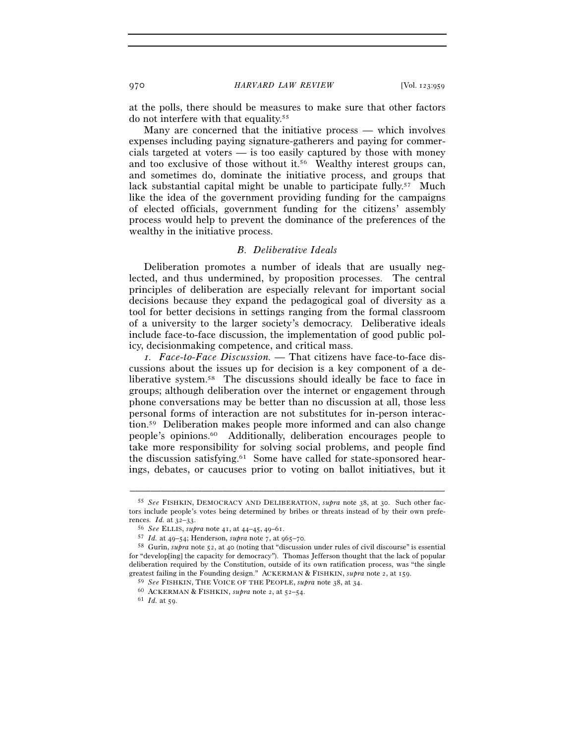at the polls, there should be measures to make sure that other factors do not interfere with that equality.55

Many are concerned that the initiative process — which involves expenses including paying signature-gatherers and paying for commercials targeted at voters — is too easily captured by those with money and too exclusive of those without it.<sup>56</sup> Wealthy interest groups can, and sometimes do, dominate the initiative process, and groups that lack substantial capital might be unable to participate fully.<sup>57</sup> Much like the idea of the government providing funding for the campaigns of elected officials, government funding for the citizens' assembly process would help to prevent the dominance of the preferences of the wealthy in the initiative process.

#### *B. Deliberative Ideals*

Deliberation promotes a number of ideals that are usually neglected, and thus undermined, by proposition processes. The central principles of deliberation are especially relevant for important social decisions because they expand the pedagogical goal of diversity as a tool for better decisions in settings ranging from the formal classroom of a university to the larger society's democracy. Deliberative ideals include face-to-face discussion, the implementation of good public policy, decisionmaking competence, and critical mass.

*1. Face-to-Face Discussion. —* That citizens have face-to-face discussions about the issues up for decision is a key component of a deliberative system.58 The discussions should ideally be face to face in groups; although deliberation over the internet or engagement through phone conversations may be better than no discussion at all, those less personal forms of interaction are not substitutes for in-person interaction.59 Deliberation makes people more informed and can also change people's opinions.60 Additionally, deliberation encourages people to take more responsibility for solving social problems, and people find the discussion satisfying.61 Some have called for state-sponsored hearings, debates, or caucuses prior to voting on ballot initiatives, but it

<sup>55</sup> *See* FISHKIN, DEMOCRACY AND DELIBERATION, *supra* note 38, at 30. Such other factors include people's votes being determined by bribes or threats instead of by their own preferences. *Id.* at 32–33. 56 *See* ELLIS, *supra* note 41, at 44–45, 49–61.

<sup>&</sup>lt;sup>58</sup> Gurin, *supra* note 52, at 40 (noting that "discussion under rules of civil discourse" is essential for "develop[ing] the capacity for democracy"). Thomas Jefferson thought that the lack of popular deliberation required by the Constitution, outside of its own ratification process, was "the single greatest failing in the Founding design." ACKERMAN & FISHKIN, *supra* note 2, at 159.<br><sup>59</sup> See FISHKIN, THE VOICE OF THE PEOPLE, *supra* note 38, at 34.<br><sup>60</sup> ACKERMAN & FISHKIN, *supra* note 2, at 52-54.<br><sup>61</sup> Id. at 59.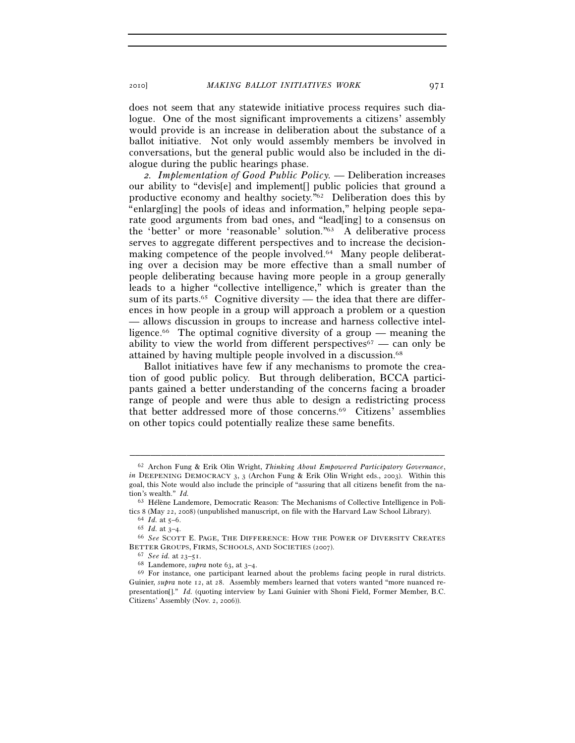2010] *MAKING BALLOT INITIATIVES WORK* 971

does not seem that any statewide initiative process requires such dialogue. One of the most significant improvements a citizens' assembly would provide is an increase in deliberation about the substance of a ballot initiative. Not only would assembly members be involved in conversations, but the general public would also be included in the dialogue during the public hearings phase.

*2. Implementation of Good Public Policy. —* Deliberation increases our ability to "devis[e] and implement[] public policies that ground a productive economy and healthy society."62 Deliberation does this by "enlarg[ing] the pools of ideas and information," helping people separate good arguments from bad ones, and "lead[ing] to a consensus on the 'better' or more 'reasonable' solution."63 A deliberative process serves to aggregate different perspectives and to increase the decisionmaking competence of the people involved.64 Many people deliberating over a decision may be more effective than a small number of people deliberating because having more people in a group generally leads to a higher "collective intelligence," which is greater than the sum of its parts.<sup>65</sup> Cognitive diversity — the idea that there are differences in how people in a group will approach a problem or a question — allows discussion in groups to increase and harness collective intelligence.<sup>66</sup> The optimal cognitive diversity of a group — meaning the ability to view the world from different perspectives<sup> $67$ </sup> — can only be attained by having multiple people involved in a discussion.68

Ballot initiatives have few if any mechanisms to promote the creation of good public policy. But through deliberation, BCCA participants gained a better understanding of the concerns facing a broader range of people and were thus able to design a redistricting process that better addressed more of those concerns.69 Citizens' assemblies on other topics could potentially realize these same benefits.

<sup>62</sup> Archon Fung & Erik Olin Wright, *Thinking About Empowered Participatory Governance*, *in* DEEPENING DEMOCRACY 3, 3 (Archon Fung & Erik Olin Wright eds., 2003). Within this goal, this Note would also include the principle of "assuring that all citizens benefit from the nation's wealth." *Id.* 

<sup>63</sup> Hélène Landemore, Democratic Reason: The Mechanisms of Collective Intelligence in Politics 8 (May 22, 2008) (unpublished manuscript, on file with the Harvard Law School Library).<br><sup>64</sup> *Id.* at 5–6.<br><sup>65</sup> *Id.* at 3–4.<br><sup>66</sup> *See* SCOTT E. PAGE, THE DIFFERENCE: HOW THE POWER OF DIVERSITY CREATES

BETTER GROUPS, FIRMS, SCHOOLS, AND SOCIETIES (2007).<br><sup>67</sup> *See id.* at 23–51.<br><sup>68</sup> Landemore, *supra* note 63, at 3–4.<br><sup>69</sup> For instance, one participant learned about the problems facing people in rural districts.

Guinier, *supra* note 12, at 28. Assembly members learned that voters wanted "more nuanced representation[]." *Id.* (quoting interview by Lani Guinier with Shoni Field, Former Member, B.C. Citizens' Assembly (Nov. 2, 2006)).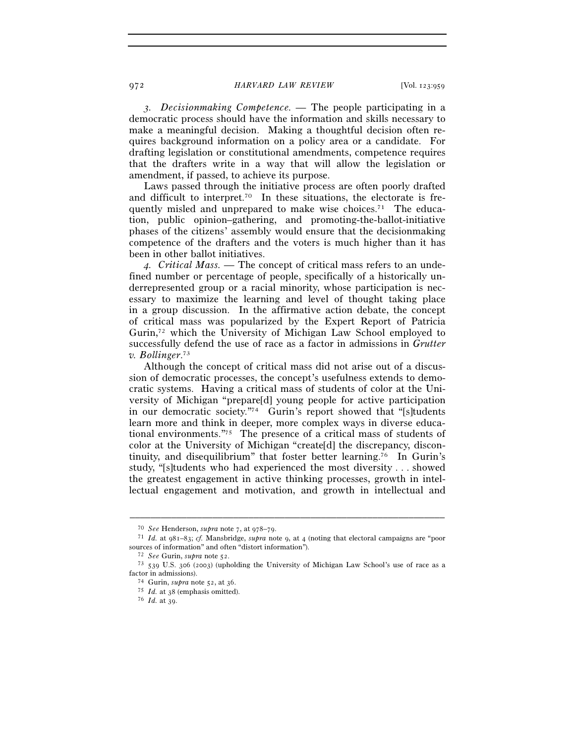*3. Decisionmaking Competence. —* The people participating in a democratic process should have the information and skills necessary to make a meaningful decision. Making a thoughtful decision often requires background information on a policy area or a candidate. For drafting legislation or constitutional amendments, competence requires that the drafters write in a way that will allow the legislation or amendment, if passed, to achieve its purpose.

Laws passed through the initiative process are often poorly drafted and difficult to interpret.<sup>70</sup> In these situations, the electorate is frequently misled and unprepared to make wise choices.<sup>71</sup> The education, public opinion–gathering, and promoting-the-ballot-initiative phases of the citizens' assembly would ensure that the decisionmaking competence of the drafters and the voters is much higher than it has been in other ballot initiatives.

*4. Critical Mass. —* The concept of critical mass refers to an undefined number or percentage of people, specifically of a historically underrepresented group or a racial minority, whose participation is necessary to maximize the learning and level of thought taking place in a group discussion. In the affirmative action debate, the concept of critical mass was popularized by the Expert Report of Patricia Gurin,72 which the University of Michigan Law School employed to successfully defend the use of race as a factor in admissions in *Grutter v. Bollinger*. 73

Although the concept of critical mass did not arise out of a discussion of democratic processes, the concept's usefulness extends to democratic systems. Having a critical mass of students of color at the University of Michigan "prepare[d] young people for active participation in our democratic society."74 Gurin's report showed that "[s]tudents learn more and think in deeper, more complex ways in diverse educational environments."75 The presence of a critical mass of students of color at the University of Michigan "create[d] the discrepancy, discontinuity, and disequilibrium" that foster better learning.76 In Gurin's study, "[s]tudents who had experienced the most diversity . . . showed the greatest engagement in active thinking processes, growth in intellectual engagement and motivation, and growth in intellectual and

<sup>70</sup> *See* Henderson, *supra* note 7, at 978–79. 71 *Id.* at 981–83; *cf.* Mansbridge, *supra* note 9, at 4 (noting that electoral campaigns are "poor sources of information" and often "distort information").<br><sup>72</sup> *See* Gurin, *supra* note 52.<br><sup>73</sup> 539 U.S. 306 (2003) (upholding the University of Michigan Law School's use of race as a

factor in admissions). 74 Gurin, *supra* note 52, at 36. 75 *Id.* at 38 (emphasis omitted). 76 *Id.* at 39.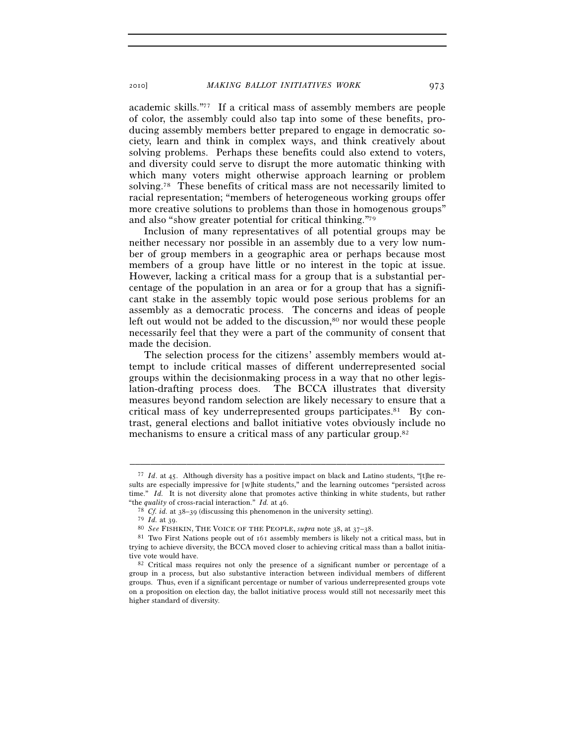academic skills."77 If a critical mass of assembly members are people of color, the assembly could also tap into some of these benefits, producing assembly members better prepared to engage in democratic society, learn and think in complex ways, and think creatively about solving problems. Perhaps these benefits could also extend to voters, and diversity could serve to disrupt the more automatic thinking with which many voters might otherwise approach learning or problem solving.78 These benefits of critical mass are not necessarily limited to racial representation; "members of heterogeneous working groups offer more creative solutions to problems than those in homogenous groups" and also "show greater potential for critical thinking."79

Inclusion of many representatives of all potential groups may be neither necessary nor possible in an assembly due to a very low number of group members in a geographic area or perhaps because most members of a group have little or no interest in the topic at issue. However, lacking a critical mass for a group that is a substantial percentage of the population in an area or for a group that has a significant stake in the assembly topic would pose serious problems for an assembly as a democratic process. The concerns and ideas of people left out would not be added to the discussion,<sup>80</sup> nor would these people necessarily feel that they were a part of the community of consent that made the decision.

The selection process for the citizens' assembly members would attempt to include critical masses of different underrepresented social groups within the decisionmaking process in a way that no other legislation-drafting process does. The BCCA illustrates that diversity measures beyond random selection are likely necessary to ensure that a critical mass of key underrepresented groups participates.<sup>81</sup> By contrast, general elections and ballot initiative votes obviously include no mechanisms to ensure a critical mass of any particular group.82

<sup>77</sup> *Id*. at 45. Although diversity has a positive impact on black and Latino students, "[t]he results are especially impressive for [w]hite students," and the learning outcomes "persisted across time." *Id.* It is not diversity alone that promotes active thinking in white students, but rather

<sup>&</sup>quot;the *quality* of cross-racial interaction." *Id.* at 46.<br><sup>78</sup> *Cf. id.* at 38–39 (discussing this phenomenon in the university setting).<br><sup>79</sup> *Id.* at 39.

<sup>79</sup> *Id.* at 39. 80 *See* FISHKIN, THE VOICE OF THE PEOPLE, *supra* note 38, at 37–38. 81 Two First Nations people out of 161 assembly members is likely not a critical mass, but in trying to achieve diversity, the BCCA moved closer to achieving critical mass than a ballot initia-<br>tive vote would have.

<sup>&</sup>lt;sup>82</sup> Critical mass requires not only the presence of a significant number or percentage of a group in a process, but also substantive interaction between individual members of different groups. Thus, even if a significant percentage or number of various underrepresented groups vote on a proposition on election day, the ballot initiative process would still not necessarily meet this higher standard of diversity.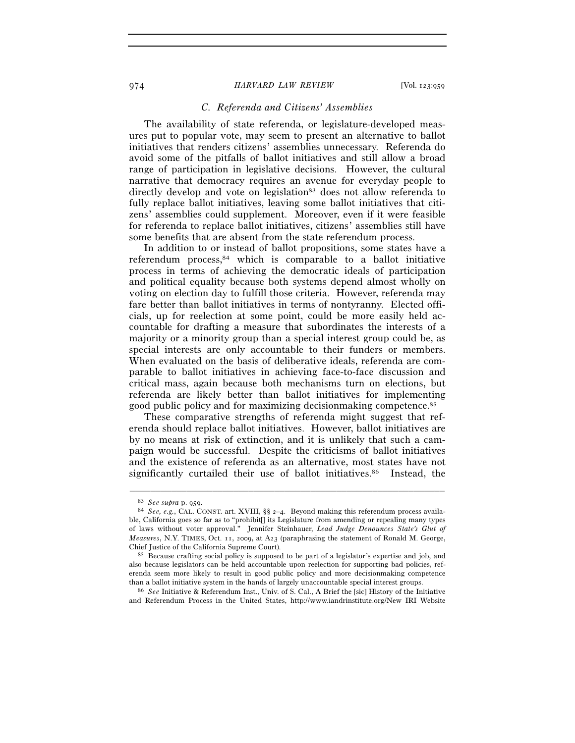# *C. Referenda and Citizens' Assemblies*

The availability of state referenda, or legislature-developed measures put to popular vote, may seem to present an alternative to ballot initiatives that renders citizens' assemblies unnecessary. Referenda do avoid some of the pitfalls of ballot initiatives and still allow a broad range of participation in legislative decisions. However, the cultural narrative that democracy requires an avenue for everyday people to directly develop and vote on legislation<sup>83</sup> does not allow referenda to fully replace ballot initiatives, leaving some ballot initiatives that citizens' assemblies could supplement. Moreover, even if it were feasible for referenda to replace ballot initiatives, citizens' assemblies still have some benefits that are absent from the state referendum process.

In addition to or instead of ballot propositions, some states have a referendum process,84 which is comparable to a ballot initiative process in terms of achieving the democratic ideals of participation and political equality because both systems depend almost wholly on voting on election day to fulfill those criteria. However, referenda may fare better than ballot initiatives in terms of nontyranny. Elected officials, up for reelection at some point, could be more easily held accountable for drafting a measure that subordinates the interests of a majority or a minority group than a special interest group could be, as special interests are only accountable to their funders or members. When evaluated on the basis of deliberative ideals, referenda are comparable to ballot initiatives in achieving face-to-face discussion and critical mass, again because both mechanisms turn on elections, but referenda are likely better than ballot initiatives for implementing good public policy and for maximizing decisionmaking competence.85

These comparative strengths of referenda might suggest that referenda should replace ballot initiatives. However, ballot initiatives are by no means at risk of extinction, and it is unlikely that such a campaign would be successful. Despite the criticisms of ballot initiatives and the existence of referenda as an alternative, most states have not significantly curtailed their use of ballot initiatives.<sup>86</sup> Instead, the

–––––––––––––––––––––––––––––––––––––––––––––––––––––––––––––

86 *See* Initiative & Referendum Inst., Univ. of S. Cal., A Brief the [sic] History of the Initiative and Referendum Process in the United States, http://www.iandrinstitute.org/New IRI Website

<sup>83</sup> *See supra* p. 959. 84 *See, e.g.*, CAL. CONST. art. XVIII, §§ 2–4. Beyond making this referendum process available, California goes so far as to "prohibit[] its Legislature from amending or repealing many types of laws without voter approval." Jennifer Steinhauer, *Lead Judge Denounces State's Glut of Measures*, N.Y. TIMES, Oct. 11, 2009, at A23 (paraphrasing the statement of Ronald M. George,

Chief Justice of the California Supreme Court). 85 Because crafting social policy is supposed to be part of a legislator's expertise and job, and also because legislators can be held accountable upon reelection for supporting bad policies, referenda seem more likely to result in good public policy and more decisionmaking competence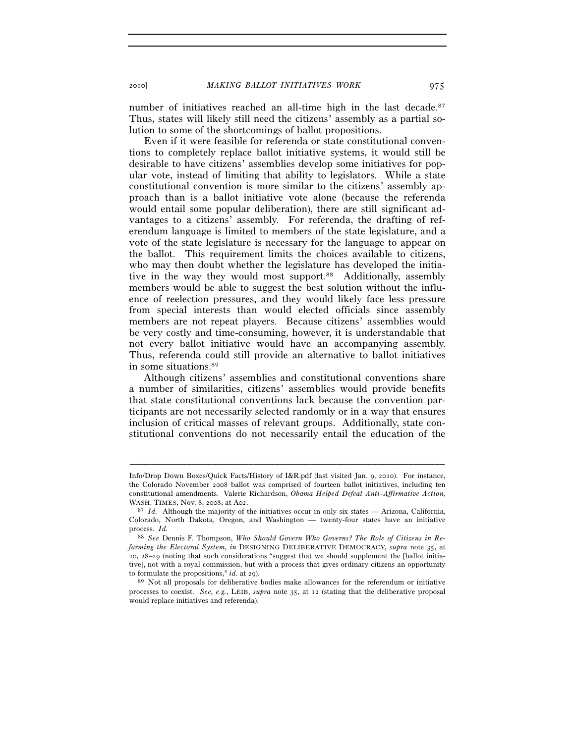number of initiatives reached an all-time high in the last decade.<sup>87</sup> Thus, states will likely still need the citizens' assembly as a partial solution to some of the shortcomings of ballot propositions.

Even if it were feasible for referenda or state constitutional conventions to completely replace ballot initiative systems, it would still be desirable to have citizens' assemblies develop some initiatives for popular vote, instead of limiting that ability to legislators. While a state constitutional convention is more similar to the citizens' assembly approach than is a ballot initiative vote alone (because the referenda would entail some popular deliberation), there are still significant advantages to a citizens' assembly. For referenda, the drafting of referendum language is limited to members of the state legislature, and a vote of the state legislature is necessary for the language to appear on the ballot. This requirement limits the choices available to citizens, who may then doubt whether the legislature has developed the initiative in the way they would most support.<sup>88</sup> Additionally, assembly members would be able to suggest the best solution without the influence of reelection pressures, and they would likely face less pressure from special interests than would elected officials since assembly members are not repeat players. Because citizens' assemblies would be very costly and time-consuming, however, it is understandable that not every ballot initiative would have an accompanying assembly. Thus, referenda could still provide an alternative to ballot initiatives in some situations.89

Although citizens' assemblies and constitutional conventions share a number of similarities, citizens' assemblies would provide benefits that state constitutional conventions lack because the convention participants are not necessarily selected randomly or in a way that ensures inclusion of critical masses of relevant groups. Additionally, state constitutional conventions do not necessarily entail the education of the

Info/Drop Down Boxes/Quick Facts/History of I&R.pdf (last visited Jan. 9, 2010). For instance, the Colorado November 2008 ballot was comprised of fourteen ballot initiatives, including ten constitutional amendments. Valerie Richardson, *Obama Helped Defeat Anti–Affirmative Action*, WASH. TIMES, Nov. 8, 2008, at A02.<br><sup>87</sup> *Id.* Although the majority of the initiatives occur in only six states — Arizona, California,

Colorado, North Dakota, Oregon, and Washington — twenty-four states have an initiative process. *Id.*

<sup>88</sup> *See* Dennis F. Thompson, *Who Should Govern Who Governs? The Role of Citizens in Reforming the Electoral System*, *in* DESIGNING DELIBERATIVE DEMOCRACY, *supra* note 35, at 20, 28–29 (noting that such considerations "suggest that we should supplement the [ballot initiative], not with a royal commission, but with a process that gives ordinary citizens an opportunity to formulate the propositions," *id.* at 29).<br><sup>89</sup> Not all proposals for deliberative bodies make allowances for the referendum or initiative

processes to coexist. *See, e.g.*, LEIB, *supra* note 35, at 12 (stating that the deliberative proposal would replace initiatives and referenda).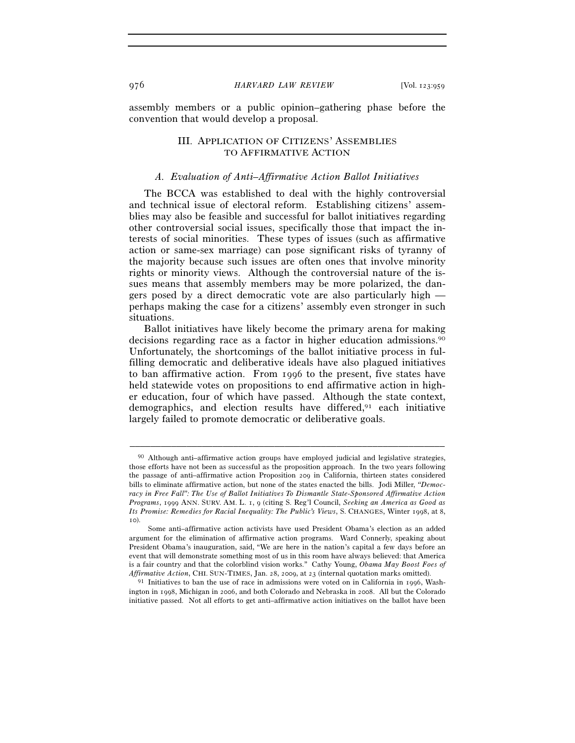assembly members or a public opinion–gathering phase before the convention that would develop a proposal.

# III. APPLICATION OF CITIZENS' ASSEMBLIES TO AFFIRMATIVE ACTION

# *A. Evaluation of Anti–Affirmative Action Ballot Initiatives*

The BCCA was established to deal with the highly controversial and technical issue of electoral reform. Establishing citizens' assemblies may also be feasible and successful for ballot initiatives regarding other controversial social issues, specifically those that impact the interests of social minorities. These types of issues (such as affirmative action or same-sex marriage) can pose significant risks of tyranny of the majority because such issues are often ones that involve minority rights or minority views. Although the controversial nature of the issues means that assembly members may be more polarized, the dangers posed by a direct democratic vote are also particularly high perhaps making the case for a citizens' assembly even stronger in such situations.

Ballot initiatives have likely become the primary arena for making decisions regarding race as a factor in higher education admissions.90 Unfortunately, the shortcomings of the ballot initiative process in fulfilling democratic and deliberative ideals have also plagued initiatives to ban affirmative action. From 1996 to the present, five states have held statewide votes on propositions to end affirmative action in higher education, four of which have passed. Although the state context, demographics, and election results have differed,<sup>91</sup> each initiative largely failed to promote democratic or deliberative goals.

<sup>90</sup> Although anti–affirmative action groups have employed judicial and legislative strategies, those efforts have not been as successful as the proposition approach. In the two years following the passage of anti–affirmative action Proposition 209 in California, thirteen states considered bills to eliminate affirmative action, but none of the states enacted the bills. Jodi Miller, *"Democracy in Free Fall": The Use of Ballot Initiatives To Dismantle State-Sponsored Affirmative Action Programs*, 1999 ANN. SURV. AM. L. 1, 9 (citing S. Reg'l Council, *Seeking an America as Good as Its Promise: Remedies for Racial Inequality: The Public's Views*, S. CHANGES, Winter 1998, at 8, 10).

Some anti–affirmative action activists have used President Obama's election as an added argument for the elimination of affirmative action programs. Ward Connerly, speaking about President Obama's inauguration, said, "We are here in the nation's capital a few days before an event that will demonstrate something most of us in this room have always believed: that America is a fair country and that the colorblind vision works." Cathy Young, *Obama May Boost Foes of Affirmative Action*, CHI. SUN-TIMES, Jan. 28, 2009, at 23 (internal quotation marks omitted).<br><sup>91</sup> Initiatives to ban the use of race in admissions were voted on in California in 1996, Wash-

ington in 1998, Michigan in 2006, and both Colorado and Nebraska in 2008. All but the Colorado initiative passed. Not all efforts to get anti–affirmative action initiatives on the ballot have been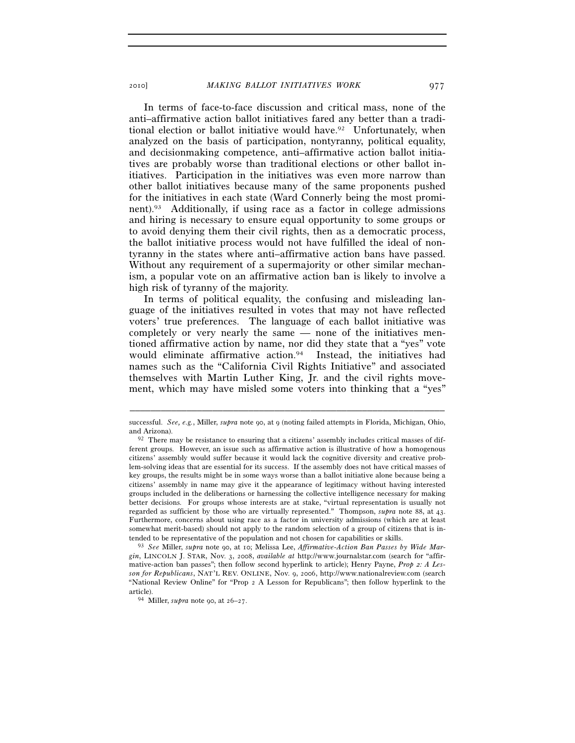In terms of face-to-face discussion and critical mass, none of the anti–affirmative action ballot initiatives fared any better than a traditional election or ballot initiative would have.<sup>92</sup> Unfortunately, when analyzed on the basis of participation, nontyranny, political equality, and decisionmaking competence, anti–affirmative action ballot initiatives are probably worse than traditional elections or other ballot initiatives. Participation in the initiatives was even more narrow than other ballot initiatives because many of the same proponents pushed for the initiatives in each state (Ward Connerly being the most prominent).93 Additionally, if using race as a factor in college admissions and hiring is necessary to ensure equal opportunity to some groups or to avoid denying them their civil rights, then as a democratic process, the ballot initiative process would not have fulfilled the ideal of nontyranny in the states where anti–affirmative action bans have passed. Without any requirement of a supermajority or other similar mechanism, a popular vote on an affirmative action ban is likely to involve a high risk of tyranny of the majority.

In terms of political equality, the confusing and misleading language of the initiatives resulted in votes that may not have reflected voters' true preferences. The language of each ballot initiative was completely or very nearly the same — none of the initiatives mentioned affirmative action by name, nor did they state that a "yes" vote would eliminate affirmative action.94 Instead, the initiatives had names such as the "California Civil Rights Initiative" and associated themselves with Martin Luther King, Jr. and the civil rights movement, which may have misled some voters into thinking that a "yes"

<sup>–––––––––––––––––––––––––––––––––––––––––––––––––––––––––––––</sup>  successful. *See, e.g.*, Miller, *supra* note 90, at 9 (noting failed attempts in Florida, Michigan, Ohio, and Arizona). 92 There may be resistance to ensuring that a citizens' assembly includes critical masses of dif-

ferent groups. However, an issue such as affirmative action is illustrative of how a homogenous citizens' assembly would suffer because it would lack the cognitive diversity and creative problem-solving ideas that are essential for its success. If the assembly does not have critical masses of key groups, the results might be in some ways worse than a ballot initiative alone because being a citizens' assembly in name may give it the appearance of legitimacy without having interested groups included in the deliberations or harnessing the collective intelligence necessary for making better decisions. For groups whose interests are at stake, "virtual representation is usually not regarded as sufficient by those who are virtually represented." Thompson, *supra* note 88, at 43. Furthermore, concerns about using race as a factor in university admissions (which are at least somewhat merit-based) should not apply to the random selection of a group of citizens that is intended to be representative of the population and not chosen for capabilities or skills.

<sup>&</sup>lt;sup>93</sup> See Miller, *supra* note 90, at 10; Melissa Lee, *Affirmative-Action Ban Passes by Wide Margin*, LINCOLN J. STAR, Nov. 3, 2008, *available at* http://www.journalstar.com (search for "affirmative-action ban passes"; then follow second hyperlink to article); Henry Payne, *Prop 2: A Lesson for Republicans*, NAT'L REV. ONLINE, Nov. 9, 2006, http://www.nationalreview.com (search "National Review Online" for "Prop 2 A Lesson for Republicans"; then follow hyperlink to the article). 94 Miller, *supra* note 90, at 26–27.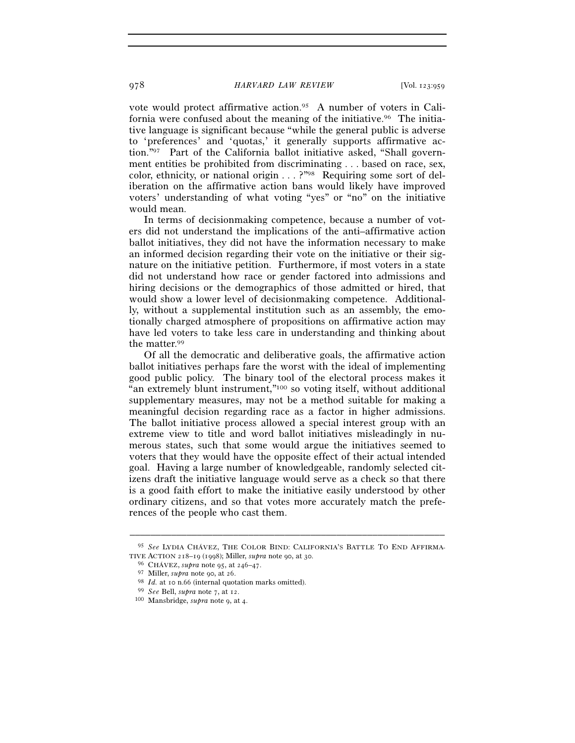vote would protect affirmative action.95 A number of voters in California were confused about the meaning of the initiative.<sup>96</sup> The initiative language is significant because "while the general public is adverse to 'preferences' and 'quotas,' it generally supports affirmative action."97 Part of the California ballot initiative asked, "Shall government entities be prohibited from discriminating . . . based on race, sex, color, ethnicity, or national origin . . . ?"98 Requiring some sort of deliberation on the affirmative action bans would likely have improved voters' understanding of what voting "yes" or "no" on the initiative would mean.

In terms of decisionmaking competence, because a number of voters did not understand the implications of the anti–affirmative action ballot initiatives, they did not have the information necessary to make an informed decision regarding their vote on the initiative or their signature on the initiative petition. Furthermore, if most voters in a state did not understand how race or gender factored into admissions and hiring decisions or the demographics of those admitted or hired, that would show a lower level of decisionmaking competence. Additionally, without a supplemental institution such as an assembly, the emotionally charged atmosphere of propositions on affirmative action may have led voters to take less care in understanding and thinking about the matter.99

Of all the democratic and deliberative goals, the affirmative action ballot initiatives perhaps fare the worst with the ideal of implementing good public policy. The binary tool of the electoral process makes it "an extremely blunt instrument,"100 so voting itself, without additional supplementary measures, may not be a method suitable for making a meaningful decision regarding race as a factor in higher admissions. The ballot initiative process allowed a special interest group with an extreme view to title and word ballot initiatives misleadingly in numerous states, such that some would argue the initiatives seemed to voters that they would have the opposite effect of their actual intended goal. Having a large number of knowledgeable, randomly selected citizens draft the initiative language would serve as a check so that there is a good faith effort to make the initiative easily understood by other ordinary citizens, and so that votes more accurately match the preferences of the people who cast them.

<sup>–––––––––––––––––––––––––––––––––––––––––––––––––––––––––––––</sup>  95 *See* LYDIA CHÁVEZ, THE COLOR BIND: CALIFORNIA'S BATTLE TO END AFFIRMA-TIVE ACTION 218–19 (1998); Miller, *supra* note 90, at 30.<br><sup>96</sup> CHÁVEZ, *supra* note 95, at 246–47.<br><sup>97</sup> Miller, *supra* note 90, at 26.<br><sup>98</sup> Id. at 10 n.66 (internal quotation marks omitted).<br><sup>99</sup> See Bell, *supra* note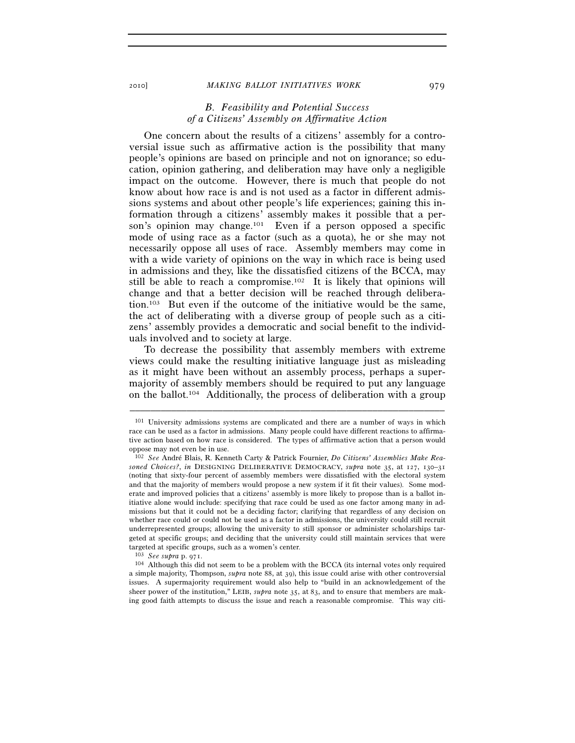#### 2010] *MAKING BALLOT INITIATIVES WORK* 979

# *B. Feasibility and Potential Success of a Citizens' Assembly on Affirmative Action*

One concern about the results of a citizens' assembly for a controversial issue such as affirmative action is the possibility that many people's opinions are based on principle and not on ignorance; so education, opinion gathering, and deliberation may have only a negligible impact on the outcome. However, there is much that people do not know about how race is and is not used as a factor in different admissions systems and about other people's life experiences; gaining this information through a citizens' assembly makes it possible that a person's opinion may change.<sup>101</sup> Even if a person opposed a specific mode of using race as a factor (such as a quota), he or she may not necessarily oppose all uses of race. Assembly members may come in with a wide variety of opinions on the way in which race is being used in admissions and they, like the dissatisfied citizens of the BCCA, may still be able to reach a compromise.102 It is likely that opinions will change and that a better decision will be reached through deliberation.103 But even if the outcome of the initiative would be the same, the act of deliberating with a diverse group of people such as a citizens' assembly provides a democratic and social benefit to the individuals involved and to society at large.

To decrease the possibility that assembly members with extreme views could make the resulting initiative language just as misleading as it might have been without an assembly process, perhaps a supermajority of assembly members should be required to put any language on the ballot.104 Additionally, the process of deliberation with a group

<sup>101</sup> University admissions systems are complicated and there are a number of ways in which race can be used as a factor in admissions. Many people could have different reactions to affirmative action based on how race is considered. The types of affirmative action that a person would oppose may not even be in use.

<sup>102</sup> *See* André Blais, R. Kenneth Carty & Patrick Fournier, *Do Citizens' Assemblies Make Reasoned Choices?*, *in* DESIGNING DELIBERATIVE DEMOCRACY, *supra* note 35, at 127, 130–31 (noting that sixty-four percent of assembly members were dissatisfied with the electoral system and that the majority of members would propose a new system if it fit their values). Some moderate and improved policies that a citizens' assembly is more likely to propose than is a ballot initiative alone would include: specifying that race could be used as one factor among many in admissions but that it could not be a deciding factor; clarifying that regardless of any decision on whether race could or could not be used as a factor in admissions, the university could still recruit underrepresented groups; allowing the university to still sponsor or administer scholarships targeted at specific groups; and deciding that the university could still maintain services that were targeted at specific groups, such as a women's center.<br> $103 \text{ See subra } p$ , 971.

<sup>&</sup>lt;sup>104</sup> Although this did not seem to be a problem with the BCCA (its internal votes only required a simple majority, Thompson, *supra* note 88, at 39), this issue could arise with other controversial issues. A supermajority requirement would also help to "build in an acknowledgement of the sheer power of the institution," LEIB, *supra* note 35, at 83, and to ensure that members are making good faith attempts to discuss the issue and reach a reasonable compromise. This way citi-